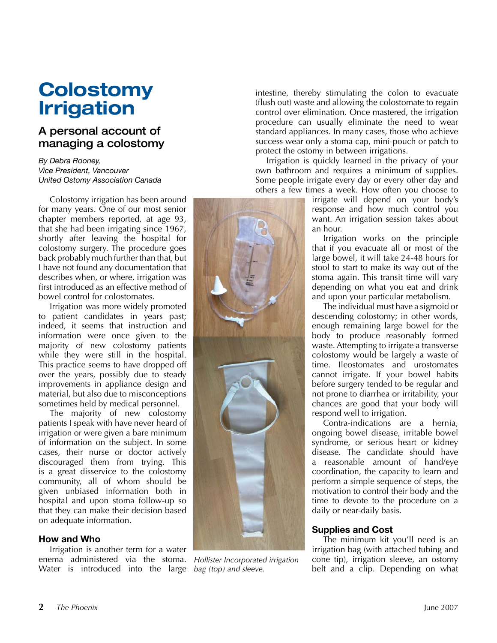# **Colostomy Irrigation**

### A personal account of managing a colostomy

#### *By Debra Rooney, Vice President, Vancouver United Ostomy Association Canada*

Colostomy irrigation has been around for many years. One of our most senior chapter members reported, at age 93, that she had been irrigating since 1967, shortly after leaving the hospital for colostomy surgery. The procedure goes back probably much further than that, but I have not found any documentation that describes when, or where, irrigation was first introduced as an effective method of bowel control for colostomates.

Irrigation was more widely promoted to patient candidates in years past; indeed, it seems that instruction and information were once given to the majority of new colostomy patients while they were still in the hospital. This practice seems to have dropped off over the years, possibly due to steady improvements in appliance design and material, but also due to misconceptions sometimes held by medical personnel.

The majority of new colostomy patients I speak with have never heard of irrigation or were given a bare minimum of information on the subject. In some cases, their nurse or doctor actively discouraged them from trying. This is a great disservice to the colostomy community, all of whom should be given unbiased information both in hospital and upon stoma follow-up so that they can make their decision based on adequate information.

#### **How and Who**

Irrigation is another term for a water enema administered via the stoma. *Hollister Incorporated irrigation*  Water is introduced into the large *bag (top) and sleeve.*

intestine, thereby stimulating the colon to evacuate (flush out) waste and allowing the colostomate to regain control over elimination. Once mastered, the irrigation procedure can usually eliminate the need to wear standard appliances. In many cases, those who achieve success wear only a stoma cap, mini-pouch or patch to protect the ostomy in between irrigations.

Irrigation is quickly learned in the privacy of your own bathroom and requires a minimum of supplies. Some people irrigate every day or every other day and others a few times a week. How often you choose to

irrigate will depend on your body's response and how much control you want. An irrigation session takes about an hour.

Irrigation works on the principle that if you evacuate all or most of the large bowel, it will take 24-48 hours for stool to start to make its way out of the stoma again. This transit time will vary depending on what you eat and drink and upon your particular metabolism.

The individual must have a sigmoid or descending colostomy; in other words, enough remaining large bowel for the body to produce reasonably formed waste. Attempting to irrigate a transverse colostomy would be largely a waste of time. Ileostomates and urostomates cannot irrigate. If your bowel habits before surgery tended to be regular and not prone to diarrhea or irritability, your chances are good that your body will respond well to irrigation.

Contra-indications are a hernia, ongoing bowel disease, irritable bowel syndrome, or serious heart or kidney disease. The candidate should have a reasonable amount of hand/eye coordination, the capacity to learn and perform a simple sequence of steps, the motivation to control their body and the time to devote to the procedure on a daily or near-daily basis.

#### **Supplies and Cost**

The minimum kit you'll need is an irrigation bag (with attached tubing and cone tip), irrigation sleeve, an ostomy belt and a clip. Depending on what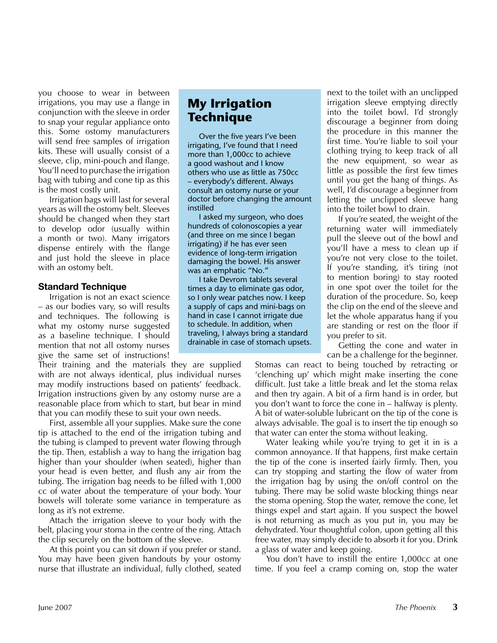you choose to wear in between irrigations, you may use a flange in conjunction with the sleeve in order to snap your regular appliance onto this. Some ostomy manufacturers will send free samples of irrigation kits. These will usually consist of a sleeve, clip, mini-pouch and flange. You'll need to purchase the irrigation bag with tubing and cone tip as this is the most costly unit.

Irrigation bags will last for several years as will the ostomy belt. Sleeves should be changed when they start to develop odor (usually within a month or two). Many irrigators dispense entirely with the flange and just hold the sleeve in place with an ostomy belt.

#### **Standard Technique**

Irrigation is not an exact science – as our bodies vary, so will results and techniques. The following is what my ostomy nurse suggested as a baseline technique. I should mention that not all ostomy nurses give the same set of instructions!

Their training and the materials they are supplied with are not always identical, plus individual nurses may modify instructions based on patients' feedback. Irrigation instructions given by any ostomy nurse are a reasonable place from which to start, but bear in mind that you can modify these to suit your own needs.

First, assemble all your supplies. Make sure the cone tip is attached to the end of the irrigation tubing and the tubing is clamped to prevent water flowing through the tip. Then, establish a way to hang the irrigation bag higher than your shoulder (when seated), higher than your head is even better, and flush any air from the tubing. The irrigation bag needs to be filled with 1,000 cc of water about the temperature of your body. Your bowels will tolerate some variance in temperature as long as it's not extreme.

Attach the irrigation sleeve to your body with the belt, placing your stoma in the centre of the ring. Attach the clip securely on the bottom of the sleeve.

At this point you can sit down if you prefer or stand. You may have been given handouts by your ostomy nurse that illustrate an individual, fully clothed, seated

## **My Irrigation Technique**

Over the five years I've been irrigating, I've found that I need more than 1,000cc to achieve a good washout and I know others who use as little as 750cc – everybody's different. Always consult an ostomy nurse or your doctor before changing the amount instilled

I asked my surgeon, who does hundreds of colonoscopies a year (and three on me since I began irrigating) if he has ever seen evidence of long-term irrigation damaging the bowel. His answer was an emphatic "No."

I take Devrom tablets several times a day to eliminate gas odor, so I only wear patches now. I keep a supply of caps and mini-bags on hand in case I cannot irrigate due to schedule. In addition, when traveling, I always bring a standard drainable in case of stomach upsets. next to the toilet with an unclipped irrigation sleeve emptying directly into the toilet bowl. I'd strongly discourage a beginner from doing the procedure in this manner the first time. You're liable to soil your clothing trying to keep track of all the new equipment, so wear as little as possible the first few times until you get the hang of things. As well, I'd discourage a beginner from letting the unclipped sleeve hang into the toilet bowl to drain.

If you're seated, the weight of the returning water will immediately pull the sleeve out of the bowl and you'll have a mess to clean up if you're not very close to the toilet. If you're standing, it's tiring (not to mention boring) to stay rooted in one spot over the toilet for the duration of the procedure. So, keep the clip on the end of the sleeve and let the whole apparatus hang if you are standing or rest on the floor if you prefer to sit.

Getting the cone and water in can be a challenge for the beginner.

Stomas can react to being touched by retracting or 'clenching up' which might make inserting the cone difficult. Just take a little break and let the stoma relax and then try again. A bit of a firm hand is in order, but you don't want to force the cone in – halfway is plenty. A bit of water-soluble lubricant on the tip of the cone is always advisable. The goal is to insert the tip enough so that water can enter the stoma without leaking.

Water leaking while you're trying to get it in is a common annoyance. If that happens, first make certain the tip of the cone is inserted fairly firmly. Then, you can try stopping and starting the flow of water from the irrigation bag by using the on/off control on the tubing. There may be solid waste blocking things near the stoma opening. Stop the water, remove the cone, let things expel and start again. If you suspect the bowel is not returning as much as you put in, you may be dehydrated. Your thoughtful colon, upon getting all this free water, may simply decide to absorb it for you. Drink a glass of water and keep going.

You don't have to instill the entire 1,000cc at one time. If you feel a cramp coming on, stop the water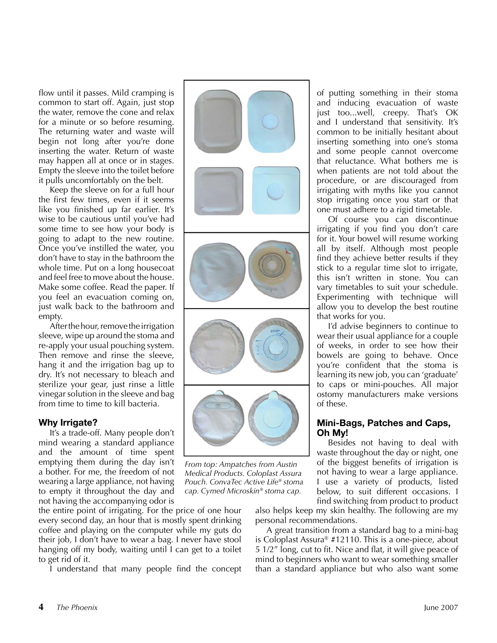flow until it passes. Mild cramping is common to start off. Again, just stop the water, remove the cone and relax for a minute or so before resuming. The returning water and waste will begin not long after you're done inserting the water. Return of waste may happen all at once or in stages. Empty the sleeve into the toilet before it pulls uncomfortably on the belt.

Keep the sleeve on for a full hour the first few times, even if it seems like you finished up far earlier. It's wise to be cautious until you've had some time to see how your body is going to adapt to the new routine. Once you've instilled the water, you don't have to stay in the bathroom the whole time. Put on a long housecoat and feel free to move about the house. Make some coffee. Read the paper. If you feel an evacuation coming on, just walk back to the bathroom and empty.

After the hour, remove the irrigation sleeve, wipe up around the stoma and re-apply your usual pouching system. Then remove and rinse the sleeve, hang it and the irrigation bag up to dry. It's not necessary to bleach and sterilize your gear, just rinse a little vinegar solution in the sleeve and bag from time to time to kill bacteria.

#### **Why Irrigate?**

It's a trade-off. Many people don't mind wearing a standard appliance and the amount of time spent emptying them during the day isn't a bother. For me, the freedom of not wearing a large appliance, not having to empty it throughout the day and not having the accompanying odor is

the entire point of irrigating. For the price of one hour every second day, an hour that is mostly spent drinking coffee and playing on the computer while my guts do their job, I don't have to wear a bag. I never have stool hanging off my body, waiting until I can get to a toilet to get rid of it.

I understand that many people find the concept



*From top: Ampatches from Austin Medical Products. Coloplast Assura Pouch. ConvaTec Active Life® stoma cap. Cymed Microskin® stoma cap.*

of putting something in their stoma and inducing evacuation of waste just too...well, creepy. That's OK and I understand that sensitivity. It's common to be initially hesitant about inserting something into one's stoma and some people cannot overcome that reluctance. What bothers me is when patients are not told about the procedure, or are discouraged from irrigating with myths like you cannot stop irrigating once you start or that one must adhere to a rigid timetable.

Of course you can discontinue irrigating if you find you don't care for it. Your bowel will resume working all by itself. Although most people find they achieve better results if they stick to a regular time slot to irrigate, this isn't written in stone. You can vary timetables to suit your schedule. Experimenting with technique will allow you to develop the best routine that works for you.

I'd advise beginners to continue to wear their usual appliance for a couple of weeks, in order to see how their bowels are going to behave. Once you're confident that the stoma is learning its new job, you can 'graduate' to caps or mini-pouches. All major ostomy manufacturers make versions of these.

#### **Mini-Bags, Patches and Caps, Oh My!**

Besides not having to deal with waste throughout the day or night, one of the biggest benefits of irrigation is not having to wear a large appliance. I use a variety of products, listed below, to suit different occasions. I find switching from product to product

also helps keep my skin healthy. The following are my personal recommendations.

A great transition from a standard bag to a mini-bag is Coloplast Assura® #12110. This is a one-piece, about 5 1/2" long, cut to fit. Nice and flat, it will give peace of mind to beginners who want to wear something smaller than a standard appliance but who also want some